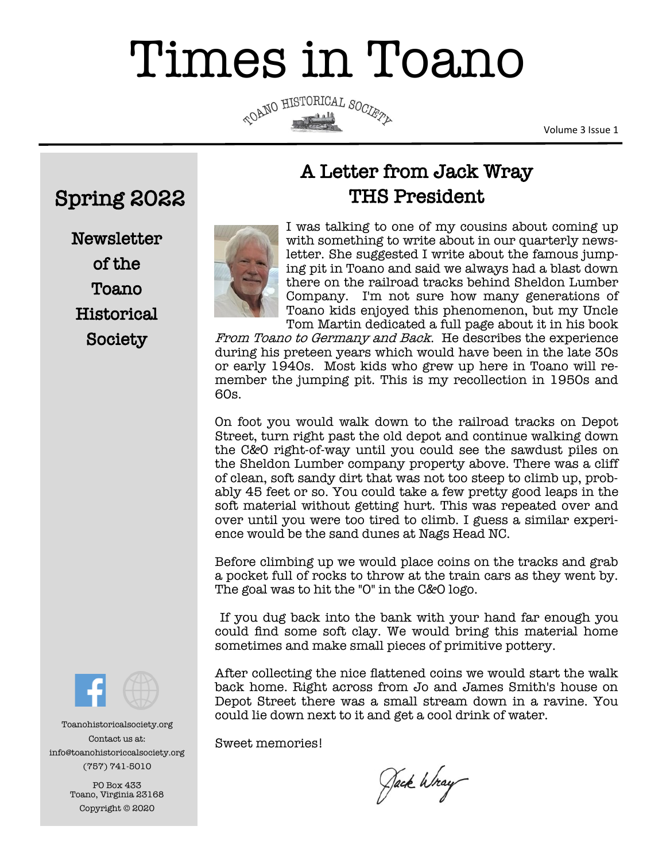# Times in Toano

COANO HISTORICAL SOCIETY

Volume 3 Issue 1

# Spring 2022

**Newsletter** of the Toano **Historical** Society



# A Letter from Jack Wray THS President

I was talking to one of my cousins about coming up with something to write about in our quarterly newsletter. She suggested I write about the famous jumping pit in Toano and said we always had a blast down there on the railroad tracks behind Sheldon Lumber Company. I'm not sure how many generations of Toano kids enjoyed this phenomenon, but my Uncle Tom Martin dedicated a full page about it in his book

From Toano to Germany and Back. He describes the experience during his preteen years which would have been in the late 30s or early 1940s. Most kids who grew up here in Toano will remember the jumping pit. This is my recollection in 1950s and 60s.

On foot you would walk down to the railroad tracks on Depot Street, turn right past the old depot and continue walking down the C&0 right-of-way until you could see the sawdust piles on the Sheldon Lumber company property above. There was a cliff of clean, soft sandy dirt that was not too steep to climb up, probably 45 feet or so. You could take a few pretty good leaps in the soft material without getting hurt. This was repeated over and over until you were too tired to climb. I guess a similar experience would be the sand dunes at Nags Head NC.

Before climbing up we would place coins on the tracks and grab a pocket full of rocks to throw at the train cars as they went by. The goal was to hit the "O" in the C&O logo.

If you dug back into the bank with your hand far enough you could find some soft clay. We would bring this material home sometimes and make small pieces of primitive pottery.

After collecting the nice flattened coins we would start the walk back home. Right across from Jo and James Smith's house on Depot Street there was a small stream down in a ravine. You could lie down next to it and get a cool drink of water.

Sweet memories!

Jack Wray



Toanohistoricalsociety.org Contact us at: info@toanohistoriccalsociety.org (757) 741-5010

> PO Box 433 Toano, Virginia 23168 Copyright © 2020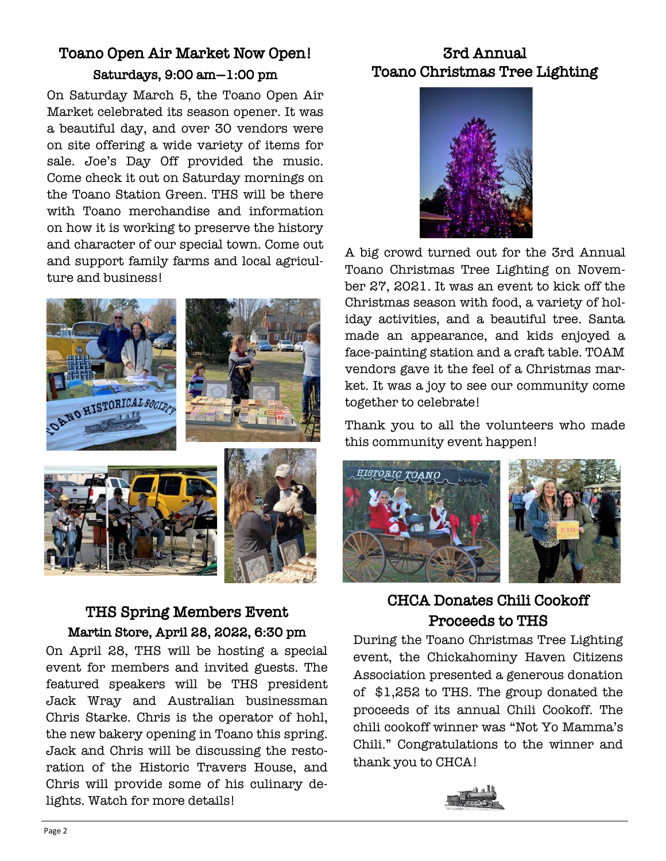### Toano Open Air Market Now Open! Saturdays, 9:00 am—1:00 pm

On Saturday March 5, the Toano Open Air Market celebrated its season opener. It was a beautiful day, and over 30 vendors were on site offering a wide variety of items for sale. Joe's Day Off provided the music. Come check it out on Saturday mornings on the Toano Station Green. THS will be there with Toano merchandise and information on how it is working to preserve the history and character of our special town. Come out and support family farms and local agriculture and business!



### THS Spring Members Event Martin Store, April 28, 2022, 6:30 pm

On April 28, THS will be hosting a special event for members and invited guests. The featured speakers will be THS president Jack Wray and Australian businessman Chris Starke. Chris is the operator of hohl, the new bakery opening in Toano this spring. Jack and Chris will be discussing the restoration of the Historic Travers House, and Chris will provide some of his culinary delights. Watch for more details!

## 3rd Annual Toano Christmas Tree Lighting



A big crowd turned out for the 3rd Annual Toano Christmas Tree Lighting on November 27, 2021. It was an event to kick off the Christmas season with food, a variety of holiday activities, and a beautiful tree. Santa made an appearance, and kids enjoyed a face-painting station and a craft table. TOAM vendors gave it the feel of a Christmas market. It was a joy to see our community come together to celebrate!

Thank you to all the volunteers who made this community event happen!



### CHCA Donates Chili Cookoff Proceeds to THS

During the Toano Christmas Tree Lighting event, the Chickahominy Haven Citizens Association presented a generous donation of \$1,252 to THS. The group donated the proceeds of its annual Chili Cookoff. The chili cookoff winner was "Not Yo Mamma's Chili." Congratulations to the winner and thank you to CHCA!

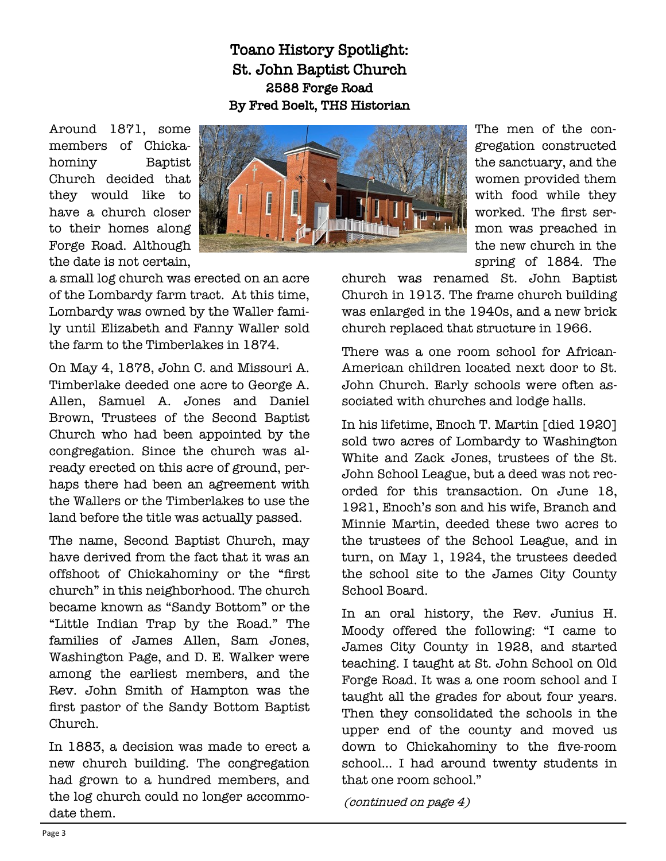### Toano History Spotlight: St. John Baptist Church 2588 Forge Road By Fred Boelt, THS Historian

Around 1871, some members of Chickahominy Baptist Church decided that they would like to have a church closer to their homes along Forge Road. Although the date is not certain,



a small log church was erected on an acre of the Lombardy farm tract. At this time, Lombardy was owned by the Waller family until Elizabeth and Fanny Waller sold the farm to the Timberlakes in 1874.

On May 4, 1878, John C. and Missouri A. Timberlake deeded one acre to George A. Allen, Samuel A. Jones and Daniel Brown, Trustees of the Second Baptist Church who had been appointed by the congregation. Since the church was already erected on this acre of ground, perhaps there had been an agreement with the Wallers or the Timberlakes to use the land before the title was actually passed.

The name, Second Baptist Church, may have derived from the fact that it was an offshoot of Chickahominy or the "first church" in this neighborhood. The church became known as "Sandy Bottom" or the "Little Indian Trap by the Road." The families of James Allen, Sam Jones, Washington Page, and D. E. Walker were among the earliest members, and the Rev. John Smith of Hampton was the first pastor of the Sandy Bottom Baptist Church.

In 1883, a decision was made to erect a new church building. The congregation had grown to a hundred members, and the log church could no longer accommodate them.

The men of the congregation constructed the sanctuary, and the women provided them with food while they worked. The first sermon was preached in the new church in the spring of 1884. The

church was renamed St. John Baptist Church in 1913. The frame church building was enlarged in the 1940s, and a new brick church replaced that structure in 1966.

There was a one room school for African-American children located next door to St. John Church. Early schools were often associated with churches and lodge halls.

In his lifetime, Enoch T. Martin [died 1920] sold two acres of Lombardy to Washington White and Zack Jones, trustees of the St. John School League, but a deed was not recorded for this transaction. On June 18, 1921, Enoch's son and his wife, Branch and Minnie Martin, deeded these two acres to the trustees of the School League, and in turn, on May 1, 1924, the trustees deeded the school site to the James City County School Board.

In an oral history, the Rev. Junius H. Moody offered the following: "I came to James City County in 1928, and started teaching. I taught at St. John School on Old Forge Road. It was a one room school and I taught all the grades for about four years. Then they consolidated the schools in the upper end of the county and moved us down to Chickahominy to the five-room school... I had around twenty students in that one room school."

(continued on page 4)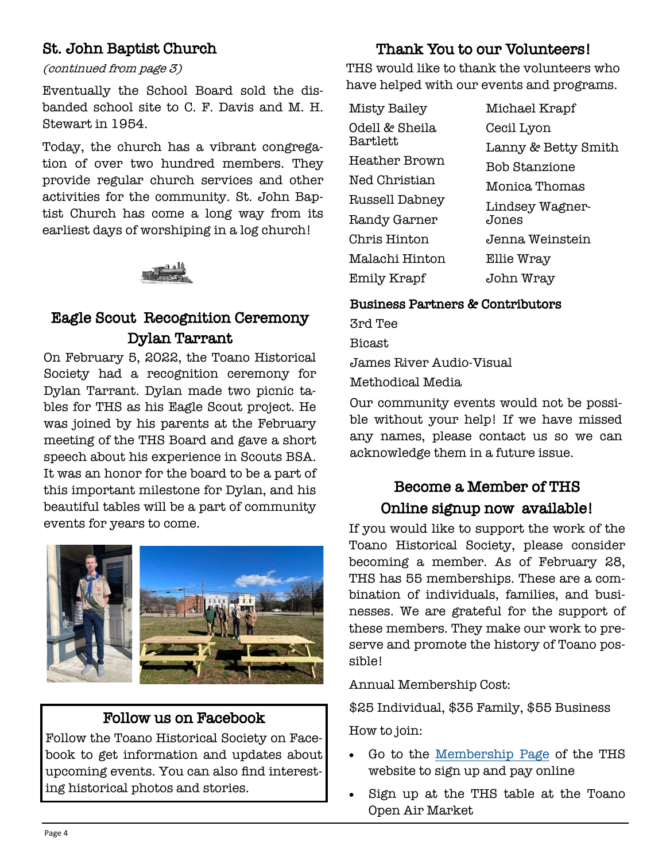### St. John Baptist Church

### (continued from page 3)

Eventually the School Board sold the disbanded school site to C. F. Davis and M. H. Stewart in 1954.

Today, the church has a vibrant congregation of over two hundred members. They provide regular church services and other activities for the community. St. John Baptist Church has come a long way from its earliest days of worshiping in a log church!

## Eagle Scout Recognition Ceremony Dylan Tarrant

On February 5, 2022, the Toano Historical Society had a recognition ceremony for Dylan Tarrant. Dylan made two picnic tables for THS as his Eagle Scout project. He was joined by his parents at the February meeting of the THS Board and gave a short speech about his experience in Scouts BSA. It was an honor for the board to be a part of this important milestone for Dylan, and his beautiful tables will be a part of community events for years to come.



### Follow us on Facebook

Follow the Toano Historical Society on Facebook to get information and updates about upcoming events. You can also find interesting historical photos and stories.

### Thank You to our Volunteers!

THS would like to thank the volunteers who have helped with our events and programs.

| Misty Bailey   | Michael Krapf       |
|----------------|---------------------|
| Odell & Sheila | Cecil Lyon          |
| Bartlett       | Lanny & Betty Smith |
| Heather Brown  | Bob Stanzione       |
| Ned Christian  | Monica Thomas       |
| Russell Dabney | Lindsey Wagner-     |
| Randy Garner   | Jones               |
| Chris Hinton   | Jenna Weinstein     |
| Malachi Hinton | Ellie Wray          |
| Emily Krapf    | John Wray           |

### Business Partners & Contributors

3rd Tee Bicast James River Audio-Visual Methodical Media

Our community events would not be possible without your help! If we have missed any names, please contact us so we can acknowledge them in a future issue.

# Become a Member of THS Online signup now available!

If you would like to support the work of the Toano Historical Society, please consider becoming a member. As of February 28, THS has 55 memberships. These are a combination of individuals, families, and businesses. We are grateful for the support of these members. They make our work to preserve and promote the history of Toano possible!

Annual Membership Cost:

\$25 Individual, \$35 Family, \$55 Business

How to join:

- Go to the [Membership Page](https://www.toanohistoricalsociety.org/membership/) of the THS website to sign up and pay online
- Sign up at the THS table at the Toano Open Air Market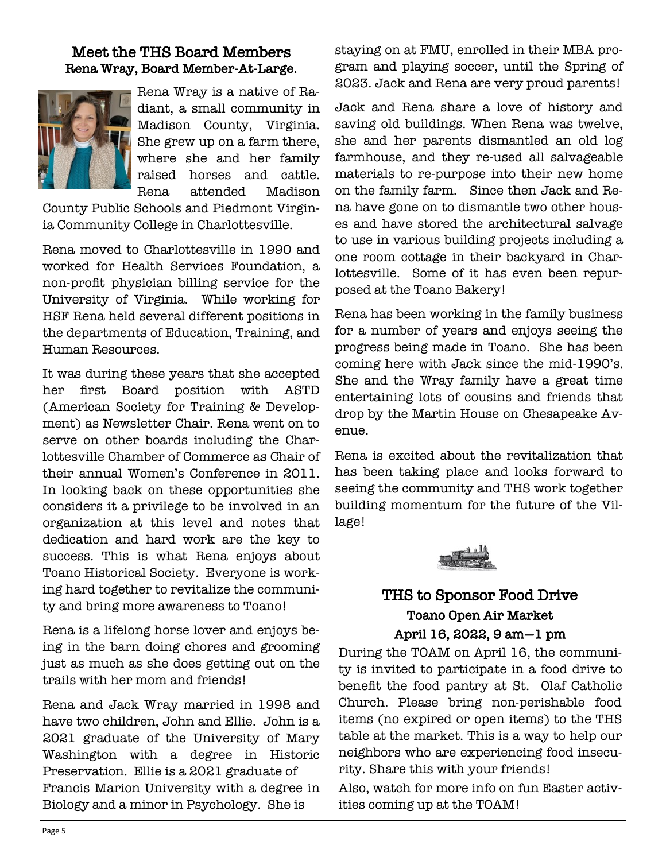### Meet the THS Board Members Rena Wray, Board Member-At-Large.



Rena Wray is a native of Radiant, a small community in Madison County, Virginia. She grew up on a farm there, where she and her family raised horses and cattle. Rena attended Madison

County Public Schools and Piedmont Virginia Community College in Charlottesville.

Rena moved to Charlottesville in 1990 and worked for Health Services Foundation, a non-profit physician billing service for the University of Virginia. While working for HSF Rena held several different positions in the departments of Education, Training, and Human Resources.

It was during these years that she accepted her first Board position with ASTD (American Society for Training & Development) as Newsletter Chair. Rena went on to serve on other boards including the Charlottesville Chamber of Commerce as Chair of their annual Women's Conference in 2011. In looking back on these opportunities she considers it a privilege to be involved in an organization at this level and notes that dedication and hard work are the key to success. This is what Rena enjoys about Toano Historical Society. Everyone is working hard together to revitalize the community and bring more awareness to Toano!

Rena is a lifelong horse lover and enjoys being in the barn doing chores and grooming just as much as she does getting out on the trails with her mom and friends!

Rena and Jack Wray married in 1998 and have two children, John and Ellie. John is a 2021 graduate of the University of Mary Washington with a degree in Historic Preservation. Ellie is a 2021 graduate of Francis Marion University with a degree in Biology and a minor in Psychology. She is

staying on at FMU, enrolled in their MBA program and playing soccer, until the Spring of 2023. Jack and Rena are very proud parents!

Jack and Rena share a love of history and saving old buildings. When Rena was twelve, she and her parents dismantled an old log farmhouse, and they re-used all salvageable materials to re-purpose into their new home on the family farm. Since then Jack and Rena have gone on to dismantle two other houses and have stored the architectural salvage to use in various building projects including a one room cottage in their backyard in Charlottesville. Some of it has even been repurposed at the Toano Bakery!

Rena has been working in the family business for a number of years and enjoys seeing the progress being made in Toano. She has been coming here with Jack since the mid-1990's. She and the Wray family have a great time entertaining lots of cousins and friends that drop by the Martin House on Chesapeake Avenue.

Rena is excited about the revitalization that has been taking place and looks forward to seeing the community and THS work together building momentum for the future of the Village!



### THS to Sponsor Food Drive Toano Open Air Market April 16, 2022, 9 am—1 pm

During the TOAM on April 16, the community is invited to participate in a food drive to benefit the food pantry at St. Olaf Catholic Church. Please bring non-perishable food items (no expired or open items) to the THS table at the market. This is a way to help our neighbors who are experiencing food insecurity. Share this with your friends!

Also, watch for more info on fun Easter activities coming up at the TOAM!